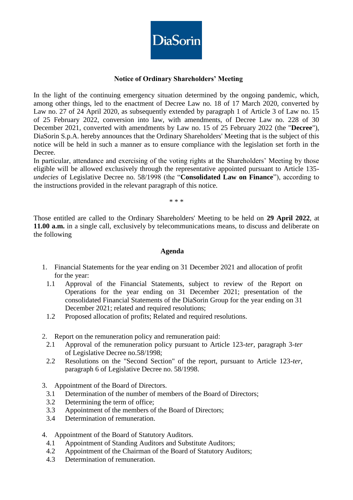

## **Notice of Ordinary Shareholders' Meeting**

In the light of the continuing emergency situation determined by the ongoing pandemic, which, among other things, led to the enactment of Decree Law no. 18 of 17 March 2020, converted by Law no. 27 of 24 April 2020, as subsequently extended by paragraph 1 of Article 3 of Law no. 15 of 25 February 2022, conversion into law, with amendments, of Decree Law no. 228 of 30 December 2021, converted with amendments by Law no. 15 of 25 February 2022 (the "**Decree**"), DiaSorin S.p.A. hereby announces that the Ordinary Shareholders' Meeting that is the subject of this notice will be held in such a manner as to ensure compliance with the legislation set forth in the Decree.

In particular, attendance and exercising of the voting rights at the Shareholders' Meeting by those eligible will be allowed exclusively through the representative appointed pursuant to Article 135 *undecies* of Legislative Decree no. 58/1998 (the "**Consolidated Law on Finance**"), according to the instructions provided in the relevant paragraph of this notice.

\* \* \*

Those entitled are called to the Ordinary Shareholders' Meeting to be held on **29 April 2022**, at **11.00 a.m.** in a single call, exclusively by telecommunications means, to discuss and deliberate on the following

#### **Agenda**

- 1. Financial Statements for the year ending on 31 December 2021 and allocation of profit for the year:
	- 1.1 Approval of the Financial Statements, subject to review of the Report on Operations for the year ending on 31 December 2021; presentation of the consolidated Financial Statements of the DiaSorin Group for the year ending on 31 December 2021; related and required resolutions;
	- 1.2 Proposed allocation of profits; Related and required resolutions.
- 2. Report on the remuneration policy and remuneration paid:
	- 2.1 Approval of the remuneration policy pursuant to Article 123-*ter*, paragraph 3-*ter* of Legislative Decree no.58/1998;
	- 2.2 Resolutions on the "Second Section" of the report, pursuant to Article 123-*ter*, paragraph 6 of Legislative Decree no. 58/1998.
- 3. Appointment of the Board of Directors.
	- 3.1 Determination of the number of members of the Board of Directors;
	- 3.2 Determining the term of office;
	- 3.3 Appointment of the members of the Board of Directors;
	- 3.4 Determination of remuneration.
- 4. Appointment of the Board of Statutory Auditors.
	- 4.1 Appointment of Standing Auditors and Substitute Auditors;
	- 4.2 Appointment of the Chairman of the Board of Statutory Auditors;
	- 4.3 Determination of remuneration.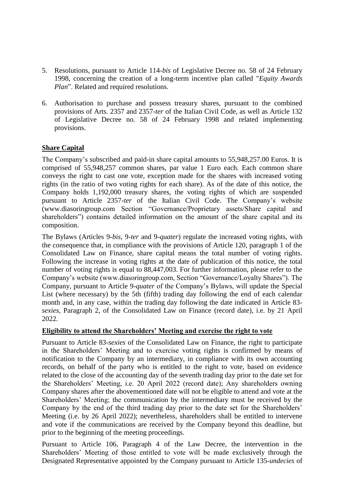- 5. Resolutions, pursuant to Article 114-*bis* of Legislative Decree no. 58 of 24 February 1998, concerning the creation of a long-term incentive plan called "*Equity Awards Plan*". Related and required resolutions.
- 6. Authorisation to purchase and possess treasury shares, pursuant to the combined provisions of Arts. 2357 and 2357-*ter* of the Italian Civil Code, as well as Article 132 of Legislative Decree no. 58 of 24 February 1998 and related implementing provisions.

## **Share Capital**

The Company's subscribed and paid-in share capital amounts to 55,948,257.00 Euros. It is comprised of 55,948,257 common shares, par value 1 Euro each. Each common share conveys the right to cast one vote, exception made for the shares with increased voting rights (in the ratio of two voting rights for each share). As of the date of this notice, the Company holds 1,192,000 treasury shares, the voting rights of which are suspended pursuant to Article 2357-*ter* of the Italian Civil Code. The Company's website (www.diasoringroup.com Section "Governance/Proprietary assets/Share capital and shareholders") contains detailed information on the amount of the share capital and its composition.

The Bylaws (Articles 9-*bis*, 9-*ter* and 9-*quater*) regulate the increased voting rights, with the consequence that, in compliance with the provisions of Article 120, paragraph 1 of the Consolidated Law on Finance, share capital means the total number of voting rights. Following the increase in voting rights at the date of publication of this notice, the total number of voting rights is equal to 88,447,003. For further information, please refer to the Company's website (www.diasoringroup.com, Section "Governance/Loyalty Shares"). The Company, pursuant to Article 9-*quater* of the Company's Bylaws, will update the Special List (where necessary) by the 5th (fifth) trading day following the end of each calendar month and, in any case, within the trading day following the date indicated in Article 83 *sexies*, Paragraph 2, of the Consolidated Law on Finance (record date), i.e. by 21 April 2022.

# **Eligibility to attend the Shareholders' Meeting and exercise the right to vote**

Pursuant to Article 83-*sexies* of the Consolidated Law on Finance, the right to participate in the Shareholders' Meeting and to exercise voting rights is confirmed by means of notification to the Company by an intermediary, in compliance with its own accounting records, on behalf of the party who is entitled to the right to vote, based on evidence related to the close of the accounting day of the seventh trading day prior to the date set for the Shareholders' Meeting, i.e. 20 April 2022 (record date); Any shareholders owning Company shares after the abovementioned date will not be eligible to attend and vote at the Shareholders' Meeting; the communication by the intermediary must be received by the Company by the end of the third trading day prior to the date set for the Shareholders' Meeting (i.e. by 26 April 2022); nevertheless, shareholders shall be entitled to intervene and vote if the communications are received by the Company beyond this deadline, but prior to the beginning of the meeting proceedings.

Pursuant to Article 106, Paragraph 4 of the Law Decree, the intervention in the Shareholders' Meeting of those entitled to vote will be made exclusively through the Designated Representative appointed by the Company pursuant to Article 135-*undecies* of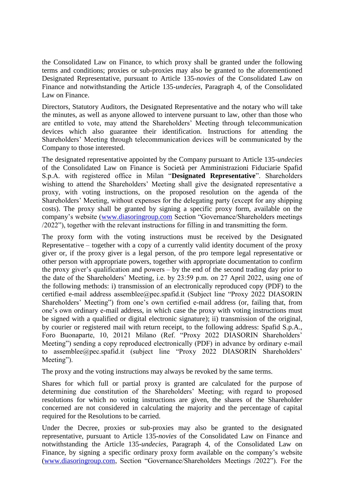the Consolidated Law on Finance, to which proxy shall be granted under the following terms and conditions; proxies or sub-proxies may also be granted to the aforementioned Designated Representative, pursuant to Article 135-*novies* of the Consolidated Law on Finance and notwithstanding the Article 135-*undecies*, Paragraph 4, of the Consolidated Law on Finance.

Directors, Statutory Auditors, the Designated Representative and the notary who will take the minutes, as well as anyone allowed to intervene pursuant to law, other than those who are entitled to vote, may attend the Shareholders' Meeting through telecommunication devices which also guarantee their identification. Instructions for attending the Shareholders' Meeting through telecommunication devices will be communicated by the Company to those interested.

The designated representative appointed by the Company pursuant to Article 135-*undecies* of the Consolidated Law on Finance is Società per Amministrazioni Fiduciarie Spafid S.p.A. with registered office in Milan "**Designated Representative**". Shareholders wishing to attend the Shareholders' Meeting shall give the designated representative a proxy, with voting instructions, on the proposed resolution on the agenda of the Shareholders' Meeting, without expenses for the delegating party (except for any shipping costs). The proxy shall be granted by signing a specific proxy form, available on the company's website [\(www.diasoringroup.com](http://www.diasoringroup.com/) Section "Governance/Shareholders meetings /2022"), together with the relevant instructions for filling in and transmitting the form.

The proxy form with the voting instructions must be received by the Designated Representative – together with a copy of a currently valid identity document of the proxy giver or, if the proxy giver is a legal person, of the pro tempore legal representative or other person with appropriate powers, together with appropriate documentation to confirm the proxy giver's qualification and powers – by the end of the second trading day prior to the date of the Shareholders' Meeting, i.e. by 23:59 p.m. on 27 April 2022, using one of the following methods: i) transmission of an electronically reproduced copy (PDF) to the certified e-mail address assemblee@pec.spafid.it (Subject line "Proxy 2022 DIASORIN Shareholders' Meeting") from one's own certified e-mail address (or, failing that, from one's own ordinary e-mail address, in which case the proxy with voting instructions must be signed with a qualified or digital electronic signature); ii) transmission of the original, by courier or registered mail with return receipt, to the following address: Spafid S.p.A., Foro Buonaparte, 10, 20121 Milano (Ref. "Proxy 2022 DIASORIN Shareholders' Meeting") sending a copy reproduced electronically (PDF) in advance by ordinary e-mail to assemblee@pec.spafid.it (subject line "Proxy 2022 DIASORIN Shareholders' Meeting").

The proxy and the voting instructions may always be revoked by the same terms.

Shares for which full or partial proxy is granted are calculated for the purpose of determining due constitution of the Shareholders' Meeting; with regard to proposed resolutions for which no voting instructions are given, the shares of the Shareholder concerned are not considered in calculating the majority and the percentage of capital required for the Resolutions to be carried.

Under the Decree, proxies or sub-proxies may also be granted to the designated representative, pursuant to Article 135-*novies* of the Consolidated Law on Finance and notwithstanding the Article 135-*undecies*, Paragraph 4, of the Consolidated Law on Finance, by signing a specific ordinary proxy form available on the company's website [\(www.diasoringroup.com,](http://www.diasoringroup.com/) Section "Governance/Shareholders Meetings /2022"). For the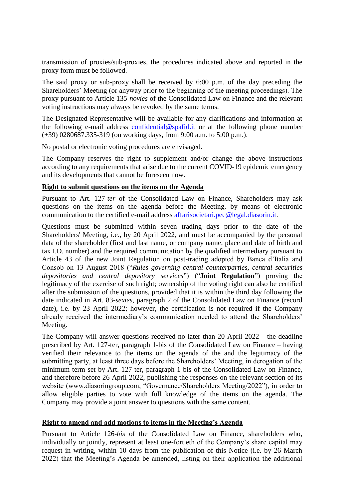transmission of proxies/sub-proxies, the procedures indicated above and reported in the proxy form must be followed.

The said proxy or sub-proxy shall be received by 6:00 p.m. of the day preceding the Shareholders' Meeting (or anyway prior to the beginning of the meeting proceedings). The proxy pursuant to Article 135-*novies* of the Consolidated Law on Finance and the relevant voting instructions may always be revoked by the same terms.

The Designated Representative will be available for any clarifications and information at the following e-mail address [confidential@spafid.it](mailto:confidential@spafid.it) or at the following phone number (+39) 0280687.335-319 (on working days, from 9:00 a.m. to 5:00 p.m.).

No postal or electronic voting procedures are envisaged.

The Company reserves the right to supplement and/or change the above instructions according to any requirements that arise due to the current COVID-19 epidemic emergency and its developments that cannot be foreseen now.

### **Right to submit questions on the items on the Agenda**

Pursuant to Art. 127*-ter* of the Consolidated Law on Finance, Shareholders may ask questions on the items on the agenda before the Meeting, by means of electronic communication to the certified e-mail address [affarisocietari.pec@legal.diasorin.it.](mailto:affarisocietari@diasorin.it)

Questions must be submitted within seven trading days prior to the date of the Shareholders' Meeting, i.e., by 20 April 2022, and must be accompanied by the personal data of the shareholder (first and last name, or company name, place and date of birth and tax I.D. number) and the required communication by the qualified intermediary pursuant to Article 43 of the new Joint Regulation on post-trading adopted by Banca d'Italia and Consob on 13 August 2018 ("*Rules governing central counterparties, central securities depositories and central depository services*") ("**Joint Regulation**") proving the legitimacy of the exercise of such right; ownership of the voting right can also be certified after the submission of the questions, provided that it is within the third day following the date indicated in Art. 83-*sexies*, paragraph 2 of the Consolidated Law on Finance (record date), i.e. by 23 April 2022; however, the certification is not required if the Company already received the intermediary's communication needed to attend the Shareholders' Meeting.

The Company will answer questions received no later than 20 April 2022 – the deadline prescribed by Art. 127-ter, paragraph 1-bis of the Consolidated Law on Finance – having verified their relevance to the items on the agenda of the and the legitimacy of the submitting party, at least three days before the Shareholders' Meeting, in derogation of the minimum term set by Art. 127-ter, paragraph 1-bis of the Consolidated Law on Finance, and therefore before 26 April 2022, publishing the responses on the relevant section of its website (www.diasoringroup.com, "Governance/Shareholders Meeting/2022"), in order to allow eligible parties to vote with full knowledge of the items on the agenda. The Company may provide a joint answer to questions with the same content.

### **Right to amend and add motions to items in the Meeting's Agenda**

Pursuant to Article 126-*bis* of the Consolidated Law on Finance, shareholders who, individually or jointly, represent at least one-fortieth of the Company's share capital may request in writing, within 10 days from the publication of this Notice (i.e. by 26 March 2022) that the Meeting's Agenda be amended, listing on their application the additional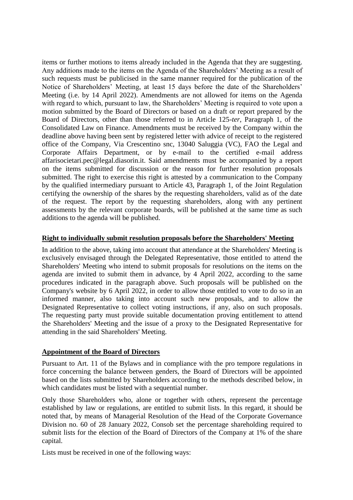items or further motions to items already included in the Agenda that they are suggesting. Any additions made to the items on the Agenda of the Shareholders' Meeting as a result of such requests must be publicised in the same manner required for the publication of the Notice of Shareholders' Meeting, at least 15 days before the date of the Shareholders' Meeting (i.e. by 14 April 2022). Amendments are not allowed for items on the Agenda with regard to which, pursuant to law, the Shareholders' Meeting is required to vote upon a motion submitted by the Board of Directors or based on a draft or report prepared by the Board of Directors, other than those referred to in Article 125-*ter*, Paragraph 1, of the Consolidated Law on Finance. Amendments must be received by the Company within the deadline above having been sent by registered letter with advice of receipt to the registered office of the Company, Via Crescentino snc, 13040 Saluggia (VC), FAO the Legal and Corporate Affairs Department, or by e-mail to the certified e-mail address affarisocietari.pec@legal.diasorin.it. Said amendments must be accompanied by a report on the items submitted for discussion or the reason for further resolution proposals submitted. The right to exercise this right is attested by a communication to the Company by the qualified intermediary pursuant to Article 43, Paragraph 1, of the Joint Regulation certifying the ownership of the shares by the requesting shareholders, valid as of the date of the request. The report by the requesting shareholders, along with any pertinent assessments by the relevant corporate boards, will be published at the same time as such additions to the agenda will be published.

### **Right to individually submit resolution proposals before the Shareholders' Meeting**

In addition to the above, taking into account that attendance at the Shareholders' Meeting is exclusively envisaged through the Delegated Representative, those entitled to attend the Shareholders' Meeting who intend to submit proposals for resolutions on the items on the agenda are invited to submit them in advance, by 4 April 2022, according to the same procedures indicated in the paragraph above. Such proposals will be published on the Company's website by 6 April 2022, in order to allow those entitled to vote to do so in an informed manner, also taking into account such new proposals, and to allow the Designated Representative to collect voting instructions, if any, also on such proposals. The requesting party must provide suitable documentation proving entitlement to attend the Shareholders' Meeting and the issue of a proxy to the Designated Representative for attending in the said Shareholders' Meeting.

# **Appointment of the Board of Directors**

Pursuant to Art. 11 of the Bylaws and in compliance with the pro tempore regulations in force concerning the balance between genders, the Board of Directors will be appointed based on the lists submitted by Shareholders according to the methods described below, in which candidates must be listed with a sequential number.

Only those Shareholders who, alone or together with others, represent the percentage established by law or regulations, are entitled to submit lists. In this regard, it should be noted that, by means of Managerial Resolution of the Head of the Corporate Governance Division no. 60 of 28 January 2022, Consob set the percentage shareholding required to submit lists for the election of the Board of Directors of the Company at 1% of the share capital.

Lists must be received in one of the following ways: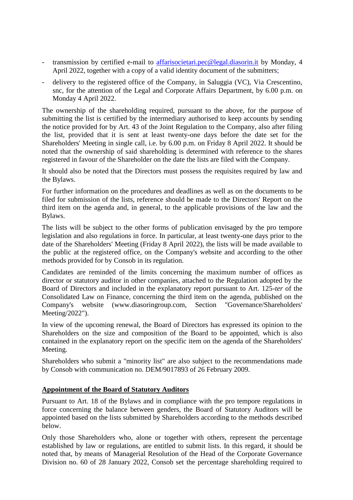- transmission by certified e-mail to [affarisocietari.pec@legal.diasorin.it](mailto:affarisocietari@diasorin.it) by Monday, 4 April 2022, together with a copy of a valid identity document of the submitters;
- delivery to the registered office of the Company, in Saluggia (VC), Via Crescentino, snc, for the attention of the Legal and Corporate Affairs Department, by 6.00 p.m. on Monday 4 April 2022.

The ownership of the shareholding required, pursuant to the above, for the purpose of submitting the list is certified by the intermediary authorised to keep accounts by sending the notice provided for by Art. 43 of the Joint Regulation to the Company, also after filing the list, provided that it is sent at least twenty-one days before the date set for the Shareholders' Meeting in single call, i.e. by 6.00 p.m. on Friday 8 April 2022. It should be noted that the ownership of said shareholding is determined with reference to the shares registered in favour of the Shareholder on the date the lists are filed with the Company.

It should also be noted that the Directors must possess the requisites required by law and the Bylaws.

For further information on the procedures and deadlines as well as on the documents to be filed for submission of the lists, reference should be made to the Directors' Report on the third item on the agenda and, in general, to the applicable provisions of the law and the Bylaws.

The lists will be subject to the other forms of publication envisaged by the pro tempore legislation and also regulations in force. In particular, at least twenty-one days prior to the date of the Shareholders' Meeting (Friday 8 April 2022), the lists will be made available to the public at the registered office, on the Company's website and according to the other methods provided for by Consob in its regulation.

Candidates are reminded of the limits concerning the maximum number of offices as director or statutory auditor in other companies, attached to the Regulation adopted by the Board of Directors and included in the explanatory report pursuant to Art. 125*-ter* of the Consolidated Law on Finance, concerning the third item on the agenda, published on the Company's website (www.diasoringroup.com, Section "Governance/Shareholders' Meeting/2022").

In view of the upcoming renewal, the Board of Directors has expressed its opinion to the Shareholders on the size and composition of the Board to be appointed, which is also contained in the explanatory report on the specific item on the agenda of the Shareholders' Meeting.

Shareholders who submit a "minority list" are also subject to the recommendations made by Consob with communication no. DEM/9017893 of 26 February 2009.

### **Appointment of the Board of Statutory Auditors**

Pursuant to Art. 18 of the Bylaws and in compliance with the pro tempore regulations in force concerning the balance between genders, the Board of Statutory Auditors will be appointed based on the lists submitted by Shareholders according to the methods described below.

Only those Shareholders who, alone or together with others, represent the percentage established by law or regulations, are entitled to submit lists. In this regard, it should be noted that, by means of Managerial Resolution of the Head of the Corporate Governance Division no. 60 of 28 January 2022, Consob set the percentage shareholding required to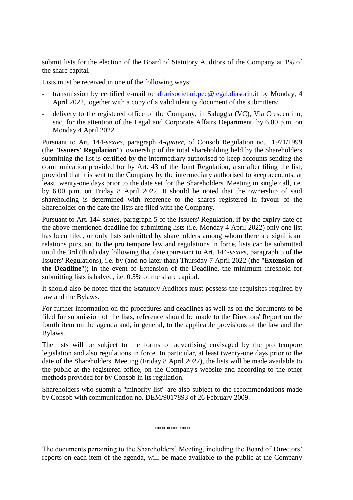submit lists for the election of the Board of Statutory Auditors of the Company at 1% of the share capital.

Lists must be received in one of the following ways:

- transmission by certified e-mail to [affarisocietari.pec@legal.diasorin.it](mailto:affarisocietari@diasorin.it) by Monday, 4 April 2022, together with a copy of a valid identity document of the submitters;
- delivery to the registered office of the Company, in Saluggia (VC), Via Crescentino, snc, for the attention of the Legal and Corporate Affairs Department, by 6.00 p.m. on Monday 4 April 2022.

Pursuant to Art. 144-*sexies*, paragraph 4-*quater*, of Consob Regulation no. 11971/1999 (the "**Issuers' Regulation**"), ownership of the total shareholding held by the Shareholders submitting the list is certified by the intermediary authorised to keep accounts sending the communication provided for by Art. 43 of the Joint Regulation, also after filing the list, provided that it is sent to the Company by the intermediary authorised to keep accounts, at least twenty-one days prior to the date set for the Shareholders' Meeting in single call, i.e. by 6.00 p.m. on Friday 8 April 2022. It should be noted that the ownership of said shareholding is determined with reference to the shares registered in favour of the Shareholder on the date the lists are filed with the Company.

Pursuant to Art. 144-*sexies*, paragraph 5 of the Issuers' Regulation, if by the expiry date of the above-mentioned deadline for submitting lists (i.e. Monday 4 April 2022) only one list has been filed, or only lists submitted by shareholders among whom there are significant relations pursuant to the pro tempore law and regulations in force, lists can be submitted until the 3rd (third) day following that date (pursuant to Art. 144-*sexies*, paragraph 5 of the Issuers' Regulations), i.e. by (and no later than) Thursday 7 April 2022 (the "**Extension of the Deadline**"); In the event of Extension of the Deadline, the minimum threshold for submitting lists is halved, i.e. 0.5% of the share capital.

It should also be noted that the Statutory Auditors must possess the requisites required by law and the Bylaws.

For further information on the procedures and deadlines as well as on the documents to be filed for submission of the lists, reference should be made to the Directors' Report on the fourth item on the agenda and, in general, to the applicable provisions of the law and the Bylaws.

The lists will be subject to the forms of advertising envisaged by the pro tempore legislation and also regulations in force. In particular, at least twenty-one days prior to the date of the Shareholders' Meeting (Friday 8 April 2022), the lists will be made available to the public at the registered office, on the Company's website and according to the other methods provided for by Consob in its regulation.

Shareholders who submit a "minority list" are also subject to the recommendations made by Consob with communication no. DEM/9017893 of 26 February 2009.

\*\*\* \*\*\* \*\*\*

The documents pertaining to the Shareholders' Meeting, including the Board of Directors' reports on each item of the agenda, will be made available to the public at the Company